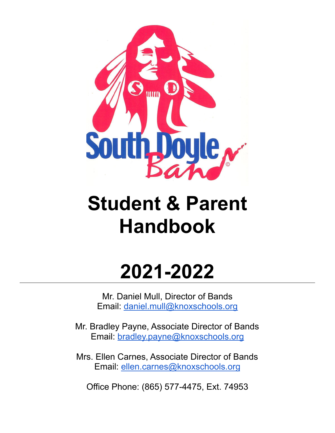

# **Student & Parent Handbook**

# **2021-2022**

Mr. Daniel Mull, Director of Bands Email: [daniel.mull@knoxschools.org](mailto:daniel.mull@knoxschools.org)

Mr. Bradley Payne, Associate Director of Bands Email: [bradley.payne@knoxschools.org](mailto:bradley.payne@knoxschools.org)

Mrs. Ellen Carnes, Associate Director of Bands Email: [ellen.carnes@knoxschools.org](mailto:ellen.carnes@knoxschools.org)

Office Phone: (865) 577-4475, Ext. 74953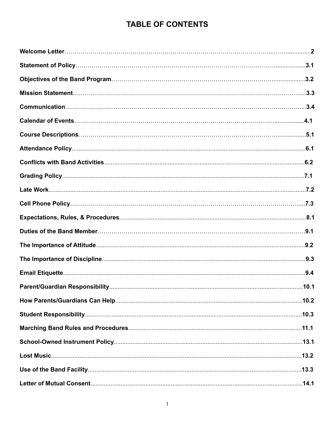# **TABLE OF CONTENTS**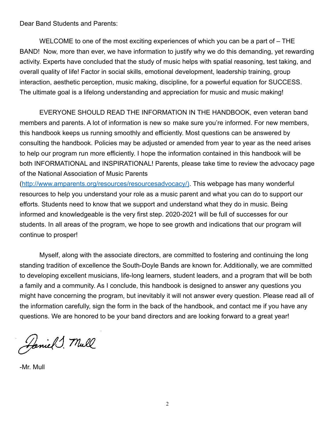Dear Band Students and Parents:

WELCOME to one of the most exciting experiences of which you can be a part of – THE BAND! Now, more than ever, we have information to justify why we do this demanding, yet rewarding activity. Experts have concluded that the study of music helps with spatial reasoning, test taking, and overall quality of life! Factor in social skills, emotional development, leadership training, group interaction, aesthetic perception, music making, discipline, for a powerful equation for SUCCESS. The ultimate goal is a lifelong understanding and appreciation for music and music making!

EVERYONE SHOULD READ THE INFORMATION IN THE HANDBOOK, even veteran band members and parents. A lot of information is new so make sure you're informed. For new members, this handbook keeps us running smoothly and efficiently. Most questions can be answered by consulting the handbook. Policies may be adjusted or amended from year to year as the need arises to help our program run more efficiently. I hope the information contained in this handbook will be both INFORMATIONAL and INSPIRATIONAL! Parents, please take time to review the advocacy page of the National Association of Music Parents

([http://www.amparents.org/resources/resourcesadvocacy/\)](http://www.amparents.org/resources/resourcesadvocacy/)). This webpage has many wonderful resources to help you understand your role as a music parent and what you can do to support our efforts. Students need to know that we support and understand what they do in music. Being informed and knowledgeable is the very first step. 2020-2021 will be full of successes for our students. In all areas of the program, we hope to see growth and indications that our program will continue to prosper!

Myself, along with the associate directors, are committed to fostering and continuing the long standing tradition of excellence the South-Doyle Bands are known for. Additionally, we are committed to developing excellent musicians, life-long learners, student leaders, and a program that will be both a family and a community. As I conclude, this handbook is designed to answer any questions you might have concerning the program, but inevitably it will not answer every question. Please read all of the information carefully, sign the form in the back of the handbook, and contact me if you have any questions. We are honored to be your band directors and are looking forward to a great year!

Famil mull

-Mr. Mull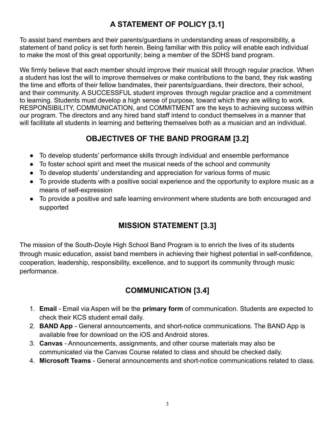# **A STATEMENT OF POLICY [3.1]**

To assist band members and their parents/guardians in understanding areas of responsibility, a statement of band policy is set forth herein. Being familiar with this policy will enable each individual to make the most of this great opportunity; being a member of the SDHS band program.

We firmly believe that each member should improve their musical skill through regular practice. When a student has lost the will to improve themselves or make contributions to the band, they risk wasting the time and efforts of their fellow bandmates, their parents/guardians, their directors, their school, and their community. A SUCCESSFUL student improves through regular practice and a commitment to learning. Students must develop a high sense of purpose, toward which they are willing to work. RESPONSIBILITY, COMMUNICATION, and COMMITMENT are the keys to achieving success within our program. The directors and any hired band staff intend to conduct themselves in a manner that will facilitate all students in learning and bettering themselves both as a musician and an individual.

## **OBJECTIVES OF THE BAND PROGRAM [3.2]**

- To develop students' performance skills through individual and ensemble performance
- To foster school spirit and meet the musical needs of the school and community
- To develop students' understanding and appreciation for various forms of music
- To provide students with a positive social experience and the opportunity to explore music as a means of self-expression
- To provide a positive and safe learning environment where students are both encouraged and supported

# **MISSION STATEMENT [3.3]**

The mission of the South-Doyle High School Band Program is to enrich the lives of its students through music education, assist band members in achieving their highest potential in self-confidence, cooperation, leadership, responsibility, excellence, and to support its community through music performance.

# **COMMUNICATION [3.4]**

- 1. **Email** Email via Aspen will be the **primary form** of communication. Students are expected to check their KCS student email daily.
- 2. **BAND App** General announcements, and short-notice communications. The BAND App is available free for download on the iOS and Android stores.
- 3. **Canvas** Announcements, assignments, and other course materials may also be communicated via the Canvas Course related to class and should be checked daily.
- 4. **Microsoft Teams** General announcements and short-notice communications related to class.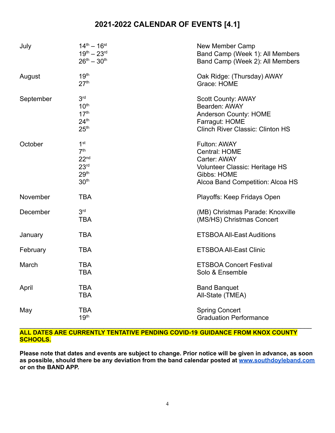## **2021-2022 CALENDAR OF EVENTS [4.1]**

| July      | $14^{th} - 16^{st}$<br>$19^{th} - 23^{rd}$<br>$26^{th} - 30^{th}$                                                  | New Member Camp<br>Band Camp (Week 1): All Members<br>Band Camp (Week 2): All Members                                                     |
|-----------|--------------------------------------------------------------------------------------------------------------------|-------------------------------------------------------------------------------------------------------------------------------------------|
| August    | 19 <sup>th</sup><br>27 <sup>th</sup>                                                                               | Oak Ridge: (Thursday) AWAY<br>Grace: HOME                                                                                                 |
| September | 3 <sup>rd</sup><br>10 <sup>th</sup><br>17 <sup>th</sup><br>24 <sup>th</sup><br>25 <sup>th</sup>                    | <b>Scott County: AWAY</b><br>Bearden: AWAY<br>Anderson County: HOME<br>Farragut: HOME<br><b>Clinch River Classic: Clinton HS</b>          |
| October   | 1 <sup>st</sup><br>7 <sup>th</sup><br>22 <sub>nd</sub><br>23 <sup>rd</sup><br>29 <sup>th</sup><br>30 <sup>th</sup> | Fulton: AWAY<br><b>Central: HOME</b><br>Carter: AWAY<br>Volunteer Classic: Heritage HS<br>Gibbs: HOME<br>Alcoa Band Competition: Alcoa HS |
| November  | <b>TBA</b>                                                                                                         | Playoffs: Keep Fridays Open                                                                                                               |
| December  | 3 <sup>rd</sup><br><b>TBA</b>                                                                                      | (MB) Christmas Parade: Knoxville<br>(MS/HS) Christmas Concert                                                                             |
| January   | <b>TBA</b>                                                                                                         | <b>ETSBOA All-East Auditions</b>                                                                                                          |
| February  | <b>TBA</b>                                                                                                         | <b>ETSBOA All-East Clinic</b>                                                                                                             |
| March     | <b>TBA</b><br><b>TBA</b>                                                                                           | <b>ETSBOA Concert Festival</b><br>Solo & Ensemble                                                                                         |
| April     | <b>TBA</b><br><b>TBA</b>                                                                                           | <b>Band Banquet</b><br>All-State (TMEA)                                                                                                   |
| May       | <b>TBA</b><br>19 <sup>th</sup>                                                                                     | <b>Spring Concert</b><br><b>Graduation Performance</b>                                                                                    |

#### $\_$ **ALL DATES ARE CURRENTLY TENTATIVE PENDING COVID-19 GUIDANCE FROM KNOX COUNTY SCHOOLS.**

Please note that dates and events are subject to change. Prior notice will be given in advance, as soon **as possible, should there be any deviation from the band calendar posted at [www.southdoyleband.com](http://www.southdoyleband.com) or on the BAND APP.**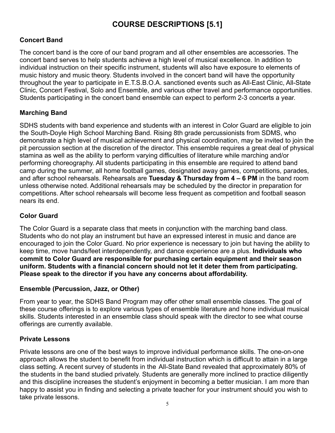## **COURSE DESCRIPTIONS [5.1]**

#### **Concert Band**

The concert band is the core of our band program and all other ensembles are accessories. The concert band serves to help students achieve a high level of musical excellence. In addition to individual instruction on their specific instrument, students will also have exposure to elements of music history and music theory. Students involved in the concert band will have the opportunity throughout the year to participate in E.T.S.B.O.A. sanctioned events such as All-East Clinic, All-State Clinic, Concert Festival, Solo and Ensemble, and various other travel and performance opportunities. Students participating in the concert band ensemble can expect to perform 2-3 concerts a year.

#### **Marching Band**

SDHS students with band experience and students with an interest in Color Guard are eligible to join the South-Doyle High School Marching Band. Rising 8th grade percussionists from SDMS, who demonstrate a high level of musical achievement and physical coordination, may be invited to join the pit percussion section at the discretion of the director. This ensemble requires a great deal of physical stamina as well as the ability to perform varying difficulties of literature while marching and/or performing choreography. All students participating in this ensemble are required to attend band camp during the summer, all home football games, designated away games, competitions, parades, and after school rehearsals. Rehearsals are **Tuesday & Thursday from 4 – 6 PM** in the band room unless otherwise noted. Additional rehearsals may be scheduled by the director in preparation for competitions. After school rehearsals will become less frequent as competition and football season nears its end.

#### **Color Guard**

The Color Guard is a separate class that meets in conjunction with the marching band class. Students who do not play an instrument but have an expressed interest in music and dance are encouraged to join the Color Guard. No prior experience is necessary to join but having the ability to keep time, move hands/feet interdependently, and dance experience are a plus. **Individuals who commit to Color Guard are responsible for purchasing certain equipment and their season uniform. Students with a financial concern should not let it deter them from participating. Please speak to the director if you have any concerns about affordability.**

#### **Ensemble (Percussion, Jazz, or Other)**

From year to year, the SDHS Band Program may offer other small ensemble classes. The goal of these course offerings is to explore various types of ensemble literature and hone individual musical skills. Students interested in an ensemble class should speak with the director to see what course offerings are currently available.

#### **Private Lessons**

Private lessons are one of the best ways to improve individual performance skills. The one-on-one approach allows the student to benefit from individual instruction which is difficult to attain in a large class setting. A recent survey of students in the All-State Band revealed that approximately 80% of the students in the band studied privately. Students are generally more inclined to practice diligently and this discipline increases the student's enjoyment in becoming a better musician. I am more than happy to assist you in finding and selecting a private teacher for your instrument should you wish to take private lessons.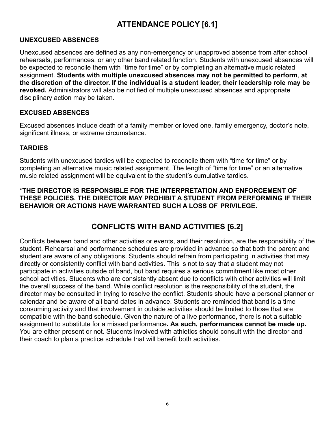## **ATTENDANCE POLICY [6.1]**

#### **UNEXCUSED ABSENCES**

Unexcused absences are defined as any non-emergency or unapproved absence from after school rehearsals, performances, or any other band related function. Students with unexcused absences will be expected to reconcile them with "time for time" or by completing an alternative music related assignment. **Students with multiple unexcused absences may not be permitted to perform**, **at the discretion of the director. If the individual is a student leader, their leadership role may be revoked.** Administrators will also be notified of multiple unexcused absences and appropriate disciplinary action may be taken.

#### **EXCUSED ABSENCES**

Excused absences include death of a family member or loved one, family emergency, doctor's note, significant illness, or extreme circumstance.

#### **TARDIES**

Students with unexcused tardies will be expected to reconcile them with "time for time" or by completing an alternative music related assignment. The length of "time for time" or an alternative music related assignment will be equivalent to the student's cumulative tardies.

#### **\*THE DIRECTOR IS RESPONSIBLE FOR THE INTERPRETATION AND ENFORCEMENT OF THESE POLICIES. THE DIRECTOR MAY PROHIBIT A STUDENT FROM PERFORMING IF THEIR BEHAVIOR OR ACTIONS HAVE WARRANTED SUCH A LOSS OF PRIVILEGE.**

## **CONFLICTS WITH BAND ACTIVITIES [6.2]**

Conflicts between band and other activities or events, and their resolution, are the responsibility of the student. Rehearsal and performance schedules are provided in advance so that both the parent and student are aware of any obligations. Students should refrain from participating in activities that may directly or consistently conflict with band activities. This is not to say that a student may not participate in activities outside of band, but band requires a serious commitment like most other school activities. Students who are consistently absent due to conflicts with other activities will limit the overall success of the band. While conflict resolution is the responsibility of the student, the director may be consulted in trying to resolve the conflict. Students should have a personal planner or calendar and be aware of all band dates in advance. Students are reminded that band is a time consuming activity and that involvement in outside activities should be limited to those that are compatible with the band schedule. Given the nature of a live performance, there is not a suitable assignment to substitute for a missed performance**. As such, performances cannot be made up.** You are either present or not. Students involved with athletics should consult with the director and their coach to plan a practice schedule that will benefit both activities.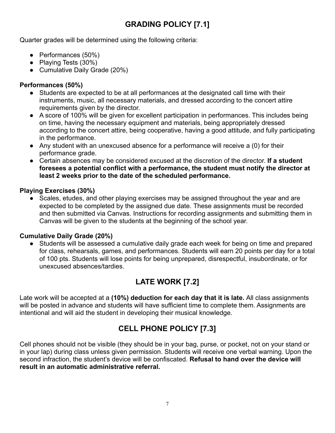# **GRADING POLICY [7.1]**

Quarter grades will be determined using the following criteria:

- Performances (50%)
- Playing Tests (30%)
- Cumulative Daily Grade (20%)

#### **Performances (50%)**

- Students are expected to be at all performances at the designated call time with their instruments, music, all necessary materials, and dressed according to the concert attire requirements given by the director.
- A score of 100% will be given for excellent participation in performances. This includes being on time, having the necessary equipment and materials, being appropriately dressed according to the concert attire, being cooperative, having a good attitude, and fully participating in the performance.
- Any student with an unexcused absence for a performance will receive a (0) for their performance grade.
- Certain absences may be considered excused at the discretion of the director. **If a student foresees a potential conflict with a performance, the student must notify the director at least 2 weeks prior to the date of the scheduled performance.**

#### **Playing Exercises (30%)**

**●** Scales, etudes, and other playing exercises may be assigned throughout the year and are expected to be completed by the assigned due date. These assignments must be recorded and then submitted via Canvas. Instructions for recording assignments and submitting them in Canvas will be given to the students at the beginning of the school year.

#### **Cumulative Daily Grade (20%)**

Students will be assessed a cumulative daily grade each week for being on time and prepared for class, rehearsals, games, and performances. Students will earn 20 points per day for a total of 100 pts. Students will lose points for being unprepared, disrespectful, insubordinate, or for unexcused absences/tardies.

# **LATE WORK [7.2]**

Late work will be accepted at a **(10%) deduction for each day that it is late.** All class assignments will be posted in advance and students will have sufficient time to complete them. Assignments are intentional and will aid the student in developing their musical knowledge.

## **CELL PHONE POLICY [7.3]**

Cell phones should not be visible (they should be in your bag, purse, or pocket, not on your stand or in your lap) during class unless given permission. Students will receive one verbal warning. Upon the second infraction, the student's device will be confiscated. **Refusal to hand over the device will result in an automatic administrative referral.**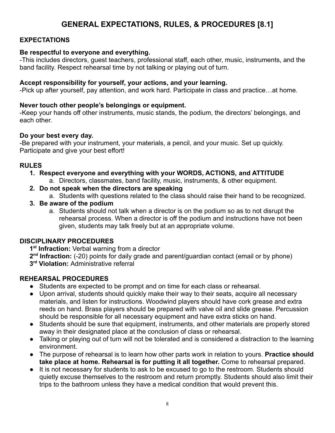## **GENERAL EXPECTATIONS, RULES, & PROCEDURES [8.1]**

#### **EXPECTATIONS**

#### **Be respectful to everyone and everything.**

-This includes directors, guest teachers, professional staff, each other, music, instruments, and the band facility. Respect rehearsal time by not talking or playing out of turn.

#### **Accept responsibility for yourself, your actions, and your learning.**

-Pick up after yourself, pay attention, and work hard. Participate in class and practice…at home.

#### **Never touch other people's belongings or equipment.**

-Keep your hands off other instruments, music stands, the podium, the directors' belongings, and each other.

#### **Do your best every day.**

-Be prepared with your instrument, your materials, a pencil, and your music. Set up quickly. Participate and give your best effort!

#### **RULES**

- **1. Respect everyone and everything with your WORDS, ACTIONS, and ATTITUDE**
	- a. Directors, classmates, band facility, music, instruments, & other equipment.
- **2. Do not speak when the directors are speaking**

a. Students with questions related to the class should raise their hand to be recognized.

- **3. Be aware of the podium**
	- a. Students should not talk when a director is on the podium so as to not disrupt the rehearsal process. When a director is off the podium and instructions have not been given, students may talk freely but at an appropriate volume.

#### **DISCIPLINARY PROCEDURES**

**1 st Infraction:** Verbal warning from a director

2<sup>nd</sup> Infraction: (-20) points for daily grade and parent/guardian contact (email or by phone) **3 rd Violation:** Administrative referral

#### **REHEARSAL PROCEDURES**

- Students are expected to be prompt and on time for each class or rehearsal.
- Upon arrival, students should quickly make their way to their seats, acquire all necessary materials, and listen for instructions. Woodwind players should have cork grease and extra reeds on hand. Brass players should be prepared with valve oil and slide grease. Percussion should be responsible for all necessary equipment and have extra sticks on hand.
- Students should be sure that equipment, instruments, and other materials are properly stored away in their designated place at the conclusion of class or rehearsal.
- Talking or playing out of turn will not be tolerated and is considered a distraction to the learning environment.
- The purpose of rehearsal is to learn how other parts work in relation to yours. **Practice should take place at home. Rehearsal is for putting it all together.** Come to rehearsal prepared.
- **●** It is not necessary for students to ask to be excused to go to the restroom. Students should quietly excuse themselves to the restroom and return promptly. Students should also limit their trips to the bathroom unless they have a medical condition that would prevent this.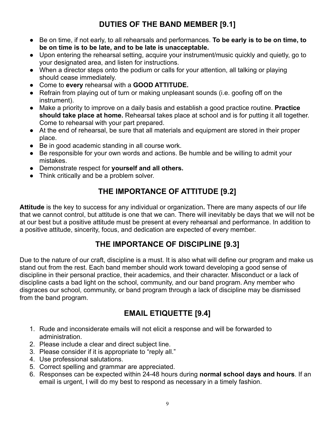# **DUTIES OF THE BAND MEMBER [9.1]**

- **●** Be on time, if not early, to all rehearsals and performances. **To be early is to be on time, to be on time is to be late, and to be late is unacceptable.**
- Upon entering the rehearsal setting, acquire your instrument/music quickly and quietly, go to your designated area, and listen for instructions.
- When a director steps onto the podium or calls for your attention, all talking or playing should cease immediately.
- **●** Come to **every** rehearsal with a **GOOD ATTITUDE.**
- Refrain from playing out of turn or making unpleasant sounds (i.e. goofing off on the instrument).
- Make a priority to improve on a daily basis and establish a good practice routine. **Practice should take place at home.** Rehearsal takes place at school and is for putting it all together. Come to rehearsal with your part prepared.
- At the end of rehearsal, be sure that all materials and equipment are stored in their proper place.
- Be in good academic standing in all course work.
- Be responsible for your own words and actions. Be humble and be willing to admit your mistakes.
- Demonstrate respect for **yourself and all others.**
- Think critically and be a problem solver.

## **THE IMPORTANCE OF ATTITUDE [9.2]**

**Attitude** is the key to success for any individual or organization**.** There are many aspects of our life that we cannot control, but attitude is one that we can. There will inevitably be days that we will not be at our best but a positive attitude must be present at every rehearsal and performance. In addition to a positive attitude, sincerity, focus, and dedication are expected of every member.

## **THE IMPORTANCE OF DISCIPLINE [9.3]**

Due to the nature of our craft, discipline is a must. It is also what will define our program and make us stand out from the rest. Each band member should work toward developing a good sense of discipline in their personal practice, their academics, and their character. Misconduct or a lack of discipline casts a bad light on the school, community, and our band program. Any member who disgraces our school, community, or band program through a lack of discipline may be dismissed from the band program.

## **EMAIL ETIQUETTE [9.4]**

- 1. Rude and inconsiderate emails will not elicit a response and will be forwarded to administration.
- 2. Please include a clear and direct subject line.
- 3. Please consider if it is appropriate to "reply all."
- 4. Use professional salutations.
- 5. Correct spelling and grammar are appreciated.
- 6. Responses can be expected within 24-48 hours during **normal school days and hours**. If an email is urgent, I will do my best to respond as necessary in a timely fashion.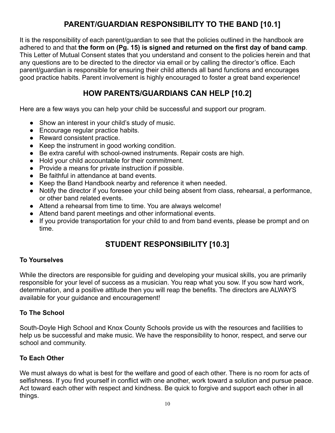## **PARENT/GUARDIAN RESPONSIBILITY TO THE BAND [10.1]**

It is the responsibility of each parent/guardian to see that the policies outlined in the handbook are adhered to and that **the form on (Pg. 15) is signed and returned on the first day of band camp**. This Letter of Mutual Consent states that you understand and consent to the policies herein and that any questions are to be directed to the director via email or by calling the director's office. Each parent/guardian is responsible for ensuring their child attends all band functions and encourages good practice habits. Parent involvement is highly encouraged to foster a great band experience!

## **HOW PARENTS/GUARDIANS CAN HELP [10.2]**

Here are a few ways you can help your child be successful and support our program.

- Show an interest in your child's study of music.
- Encourage regular practice habits.
- Reward consistent practice.
- Keep the instrument in good working condition.
- Be extra careful with school-owned instruments. Repair costs are high.
- **●** Hold your child accountable for their commitment.
- Provide a means for private instruction if possible.
- Be faithful in attendance at band events.
- **●** Keep the Band Handbook nearby and reference it when needed.
- Notify the director if you foresee your child being absent from class, rehearsal, a performance, or other band related events.
- Attend a rehearsal from time to time. You are always welcome!
- Attend band parent meetings and other informational events.
- If you provide transportation for your child to and from band events, please be prompt and on time.

# **STUDENT RESPONSIBILITY [10.3]**

#### **To Yourselves**

While the directors are responsible for quiding and developing your musical skills, you are primarily responsible for your level of success as a musician. You reap what you sow. If you sow hard work, determination, and a positive attitude then you will reap the benefits. The directors are ALWAYS available for your guidance and encouragement!

#### **To The School**

South-Doyle High School and Knox County Schools provide us with the resources and facilities to help us be successful and make music. We have the responsibility to honor, respect, and serve our school and community.

#### **To Each Other**

We must always do what is best for the welfare and good of each other. There is no room for acts of selfishness. If you find yourself in conflict with one another, work toward a solution and pursue peace. Act toward each other with respect and kindness. Be quick to forgive and support each other in all things.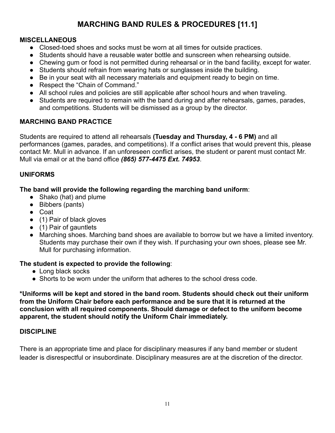# **MARCHING BAND RULES & PROCEDURES [11.1]**

#### **MISCELLANEOUS**

- Closed-toed shoes and socks must be worn at all times for outside practices.
- Students should have a reusable water bottle and sunscreen when rehearsing outside.
- Chewing gum or food is not permitted during rehearsal or in the band facility, except for water.
- Students should refrain from wearing hats or sunglasses inside the building.
- Be in your seat with all necessary materials and equipment ready to begin on time.
- *●* Respect the "Chain of Command."
- All school rules and policies are still applicable after school hours and when traveling.
- Students are required to remain with the band during and after rehearsals, games, parades, and competitions. Students will be dismissed as a group by the director.

#### **MARCHING BAND PRACTICE**

Students are required to attend all rehearsals **(Tuesday and Thursday, 4 - 6 PM)** and all performances (games, parades, and competitions). If a conflict arises that would prevent this, please contact Mr. Mull in advance. If an unforeseen conflict arises, the student or parent must contact Mr. Mull via email or at the band office *(865) 577-4475 Ext. 74953*.

#### **UNIFORMS**

**The band will provide the following regarding the marching band uniform**:

- Shako (hat) and plume
- Bibbers (pants)
- Coat
- (1) Pair of black gloves
- (1) Pair of gauntlets
- Marching shoes. Marching band shoes are available to borrow but we have a limited inventory. Students may purchase their own if they wish. If purchasing your own shoes, please see Mr. Mull for purchasing information.

#### **The student is expected to provide the following**:

- Long black socks
- Shorts to be worn under the uniform that adheres to the school dress code.

**\*Uniforms will be kept and stored in the band room. Students should check out their uniform from the Uniform Chair before each performance and be sure that it is returned at the conclusion with all required components. Should damage or defect to the uniform become apparent, the student should notify the Uniform Chair immediately.**

#### **DISCIPLINE**

There is an appropriate time and place for disciplinary measures if any band member or student leader is disrespectful or insubordinate. Disciplinary measures are at the discretion of the director.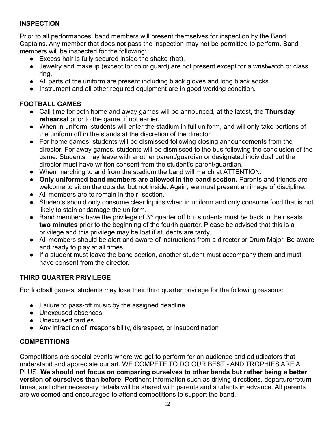#### **INSPECTION**

Prior to all performances, band members will present themselves for inspection by the Band Captains. Any member that does not pass the inspection may not be permitted to perform. Band members will be inspected for the following:

- Excess hair is fully secured inside the shako (hat).
- Jewelry and makeup (except for color guard) are not present except for a wristwatch or class ring.
- *●* All parts of the uniform are present including black gloves and long black socks.
- *●* Instrument and all other required equipment are in good working condition.

#### **FOOTBALL GAMES**

- Call time for both home and away games will be announced, at the latest, the **Thursday rehearsal** prior to the game, if not earlier.
- When in uniform, students will enter the stadium in full uniform, and will only take portions of the uniform off in the stands at the discretion of the director.
- For home games, students will be dismissed following closing announcements from the director. For away games, students will be dismissed to the bus following the conclusion of the game. Students may leave with another parent/guardian or designated individual but the director must have written consent from the student's parent/guardian.
- When marching to and from the stadium the band will march at ATTENTION.
- **● Only uniformed band members are allowed in the band section.** Parents and friends are welcome to sit on the outside, but not inside. Again, we must present an image of discipline.
- All members are to remain in their "section."
- Students should only consume clear liquids when in uniform and only consume food that is not likely to stain or damage the uniform.
- $\bullet$  Band members have the privilege of 3<sup>rd</sup> quarter off but students must be back in their seats **two minutes** prior to the beginning of the fourth quarter. Please be advised that this is a privilege and this privilege may be lost if students are tardy.
- All members should be alert and aware of instructions from a director or Drum Major. Be aware and ready to play at all times.
- If a student must leave the band section, another student must accompany them and must have consent from the director.

#### **THIRD QUARTER PRIVILEGE**

For football games, students may lose their third quarter privilege for the following reasons:

- Failure to pass-off music by the assigned deadline
- Unexcused absences
- Unexcused tardies
- Any infraction of irresponsibility, disrespect, or insubordination

#### **COMPETITIONS**

Competitions are special events where we get to perform for an audience and adjudicators that understand and appreciate our art. WE COMPETE TO DO OUR BEST - AND TROPHIES ARE A PLUS. **We should not focus on comparing ourselves to other bands but rather being a better version of ourselves than before.** Pertinent information such as driving directions, departure/return times, and other necessary details will be shared with parents and students in advance. All parents are welcomed and encouraged to attend competitions to support the band.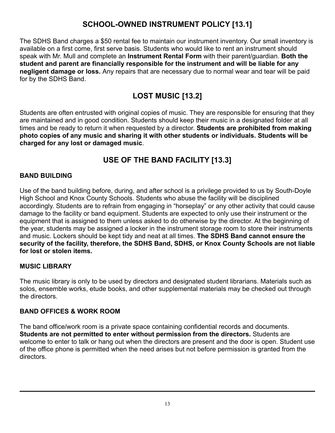## **SCHOOL-OWNED INSTRUMENT POLICY [13.1]**

The SDHS Band charges a \$50 rental fee to maintain our instrument inventory. Our small inventory is available on a first come, first serve basis. Students who would like to rent an instrument should speak with Mr. Mull and complete an **Instrument Rental Form** with their parent/guardian. **Both the student and parent are financially responsible for the instrument and will be liable for any negligent damage or loss.** Any repairs that are necessary due to normal wear and tear will be paid for by the SDHS Band.

## **LOST MUSIC [13.2]**

Students are often entrusted with original copies of music. They are responsible for ensuring that they are maintained and in good condition. Students should keep their music in a designated folder at all times and be ready to return it when requested by a director. **Students are prohibited from making photo copies of any music and sharing it with other students or individuals. Students will be charged for any lost or damaged music**.

## **USE OF THE BAND FACILITY [13.3]**

#### **BAND BUILDING**

Use of the band building before, during, and after school is a privilege provided to us by South-Doyle High School and Knox County Schools. Students who abuse the facility will be disciplined accordingly. Students are to refrain from engaging in "horseplay" or any other activity that could cause damage to the facility or band equipment. Students are expected to only use their instrument or the equipment that is assigned to them unless asked to do otherwise by the director. At the beginning of the year, students may be assigned a locker in the instrument storage room to store their instruments and music. Lockers should be kept tidy and neat at all times. **The SDHS Band cannot ensure the security of the facility, therefore, the SDHS Band, SDHS, or Knox County Schools are not liable for lost or stolen items.**

#### **MUSIC LIBRARY**

The music library is only to be used by directors and designated student librarians. Materials such as solos, ensemble works, etude books, and other supplemental materials may be checked out through the directors.

#### **BAND OFFICES & WORK ROOM**

The band office/work room is a private space containing confidential records and documents. **Students are not permitted to enter without permission from the directors.** Students are welcome to enter to talk or hang out when the directors are present and the door is open. Student use of the office phone is permitted when the need arises but not before permission is granted from the directors.